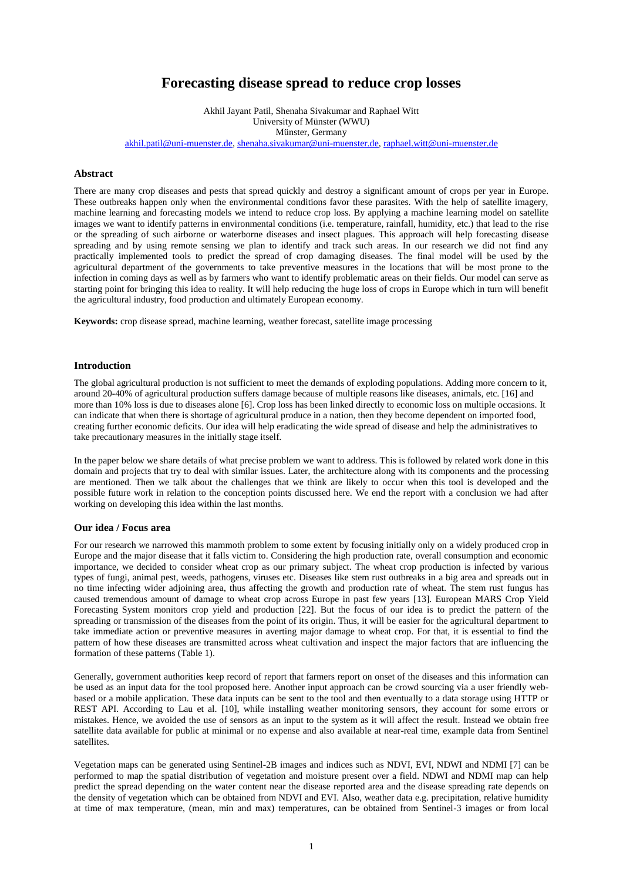# **Forecasting disease spread to reduce crop losses**

Akhil Jayant Patil, Shenaha Sivakumar and Raphael Witt University of Münster (WWU) Münster, Germany [akhil.patil@uni-muenster.de,](mailto:akhil.patil@uni-muenster.de) [shenaha.sivakumar@uni-muenster.de,](mailto:shenaha.sivakumar@uni-muenster.de) [raphael.witt@uni-muenster.de](mailto:raphael.witt@uni-muenster.de)

# **Abstract**

There are many crop diseases and pests that spread quickly and destroy a significant amount of crops per year in Europe. These outbreaks happen only when the environmental conditions favor these parasites. With the help of satellite imagery, machine learning and forecasting models we intend to reduce crop loss. By applying a machine learning model on satellite images we want to identify patterns in environmental conditions (i.e. temperature, rainfall, humidity, etc.) that lead to the rise or the spreading of such airborne or waterborne diseases and insect plagues. This approach will help forecasting disease spreading and by using remote sensing we plan to identify and track such areas. In our research we did not find any practically implemented tools to predict the spread of crop damaging diseases. The final model will be used by the agricultural department of the governments to take preventive measures in the locations that will be most prone to the infection in coming days as well as by farmers who want to identify problematic areas on their fields. Our model can serve as starting point for bringing this idea to reality. It will help reducing the huge loss of crops in Europe which in turn will benefit the agricultural industry, food production and ultimately European economy.

**Keywords:** crop disease spread, machine learning, weather forecast, satellite image processing

## **Introduction**

The global agricultural production is not sufficient to meet the demands of exploding populations. Adding more concern to it, around 20-40% of agricultural production suffers damage because of multiple reasons like diseases, animals, etc. [\[16\]](#page-5-0) and more than 10% loss is due to diseases alone [\[6\]](#page-4-0). Crop loss has been linked directly to economic loss on multiple occasions. It can indicate that when there is shortage of agricultural produce in a nation, then they become dependent on imported food, creating further economic deficits. Our idea will help eradicating the wide spread of disease and help the administratives to take precautionary measures in the initially stage itself.

In the paper below we share details of what precise problem we want to address. This is followed by related work done in this domain and projects that try to deal with similar issues. Later, the architecture along with its components and the processing are mentioned. Then we talk about the challenges that we think are likely to occur when this tool is developed and the possible future work in relation to the conception points discussed here. We end the report with a conclusion we had after working on developing this idea within the last months.

#### **Our idea / Focus area**

For our research we narrowed this mammoth problem to some extent by focusing initially only on a widely produced crop in Europe and the major disease that it falls victim to. Considering the high production rate, overall consumption and economic importance, we decided to consider wheat crop as our primary subject. The wheat crop production is infected by various types of fungi, animal pest, weeds, pathogens, viruses etc. Diseases like stem rust outbreaks in a big area and spreads out in no time infecting wider adjoining area, thus affecting the growth and production rate of wheat. The stem rust fungus has caused tremendous amount of damage to wheat crop across Europe in past few years [\[13\]](#page-4-1). European MARS Crop Yield Forecasting System monitors crop yield and production [\[22\]](#page-5-1). But the focus of our idea is to predict the pattern of the spreading or transmission of the diseases from the point of its origin. Thus, it will be easier for the agricultural department to take immediate action or preventive measures in averting major damage to wheat crop. For that, it is essential to find the pattern of how these diseases are transmitted across wheat cultivation and inspect the major factors that are influencing the formation of these patterns (Table 1).

Generally, government authorities keep record of report that farmers report on onset of the diseases and this information can be used as an input data for the tool proposed here. Another input approach can be crowd sourcing via a user friendly webbased or a mobile application. These data inputs can be sent to the tool and then eventually to a data storage using HTTP or REST API. According to Lau et al. [\[10\]](#page-4-2), while installing weather monitoring sensors, they account for some errors or mistakes. Hence, we avoided the use of sensors as an input to the system as it will affect the result. Instead we obtain free satellite data available for public at minimal or no expense and also available at near-real time, example data from Sentinel satellites.

Vegetation maps can be generated using Sentinel-2B images and indices such as NDVI, EVI, NDWI and NDMI [\[7\]](#page-4-3) can be performed to map the spatial distribution of vegetation and moisture present over a field. NDWI and NDMI map can help predict the spread depending on the water content near the disease reported area and the disease spreading rate depends on the density of vegetation which can be obtained from NDVI and EVI. Also, weather data e.g. precipitation, relative humidity at time of max temperature, (mean, min and max) temperatures, can be obtained from Sentinel-3 images or from local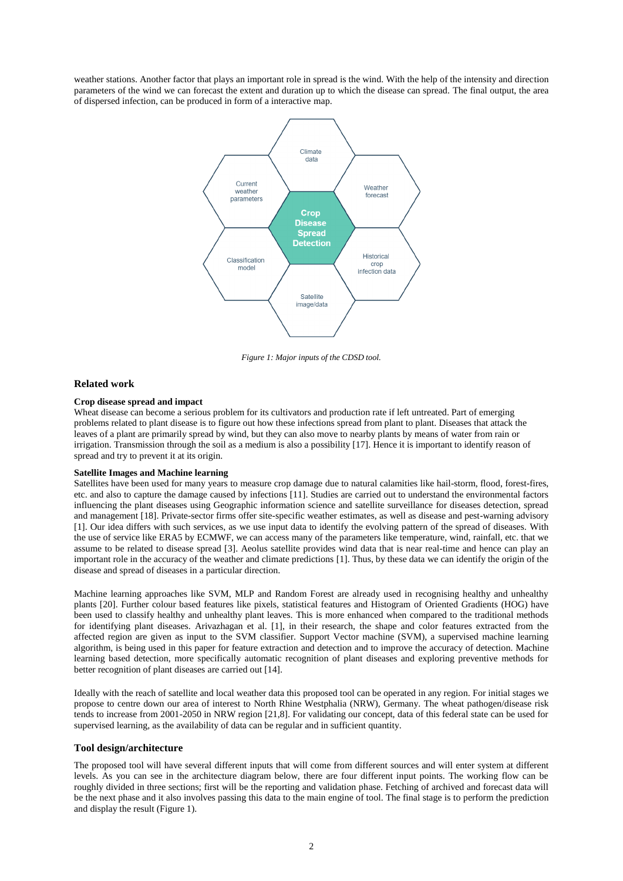weather stations. Another factor that plays an important role in spread is the wind. With the help of the intensity and direction parameters of the wind we can forecast the extent and duration up to which the disease can spread. The final output, the area of dispersed infection, can be produced in form of a interactive map.



*Figure 1: Major inputs of the CDSD tool.*

## **Related work**

## **Crop disease spread and impact**

Wheat disease can become a serious problem for its cultivators and production rate if left untreated. Part of emerging problems related to plant disease is to figure out how these infections spread from plant to plant. Diseases that attack the leaves of a plant are primarily spread by wind, but they can also move to nearby plants by means of water from rain or irrigation. Transmission through the soil as a medium is also a possibility [\[17\]](#page-5-2). Hence it is important to identify reason of spread and try to prevent it at its origin.

#### **Satellite Images and Machine learning**

Satellites have been used for many years to measure crop damage due to natural calamities like hail-storm, flood, forest-fires, etc. and also to capture the damage caused by infections [\[11\]](#page-4-4). Studies are carried out to understand the environmental factors influencing the plant diseases using Geographic information science and satellite surveillance for diseases detection, spread and management [\[18\]](#page-5-3). Private-sector firms offer site-specific weather estimates, as well as disease and pest-warning advisory [\[1\]](#page-4-5). Our idea differs with such services, as we use input data to identify the evolving pattern of the spread of diseases. With the use of service like ERA5 by ECMWF, we can access many of the parameters like temperature, wind, rainfall, etc. that we assume to be related to disease spread [\[3\]](#page-4-6). Aeolus satellite provides wind data that is near real-time and hence can play an important role in the accuracy of the weather and climate predictions [\[1\]](#page-4-5). Thus, by these data we can identify the origin of the disease and spread of diseases in a particular direction.

Machine learning approaches like SVM, MLP and Random Forest are already used in recognising healthy and unhealthy plants [\[20\]](#page-5-4). Further colour based features like pixels, statistical features and Histogram of Oriented Gradients (HOG) have been used to classify healthy and unhealthy plant leaves. This is more enhanced when compared to the traditional methods for identifying plant diseases. Arivazhagan et al. [\[1\]](#page-4-5), in their research, the shape and color features extracted from the affected region are given as input to the SVM classifier. Support Vector machine (SVM), a supervised machine learning algorithm, is being used in this paper for feature extraction and detection and to improve the accuracy of detection. Machine learning based detection, more specifically automatic recognition of plant diseases and exploring preventive methods for better recognition of plant diseases are carried out [\[14\]](#page-4-7).

Ideally with the reach of satellite and local weather data this proposed tool can be operated in any region. For initial stages we propose to centre down our area of interest to North Rhine Westphalia (NRW), Germany. The wheat pathogen/disease risk tends to increase from 2001-2050 in NRW region [\[21](#page-5-5)[,8\]](#page-4-8). For validating our concept, data of this federal state can be used for supervised learning, as the availability of data can be regular and in sufficient quantity.

#### **Tool design/architecture**

The proposed tool will have several different inputs that will come from different sources and will enter system at different levels. As you can see in the architecture diagram below, there are four different input points. The working flow can be roughly divided in three sections; first will be the reporting and validation phase. Fetching of archived and forecast data will be the next phase and it also involves passing this data to the main engine of tool. The final stage is to perform the prediction and display the result (Figure 1).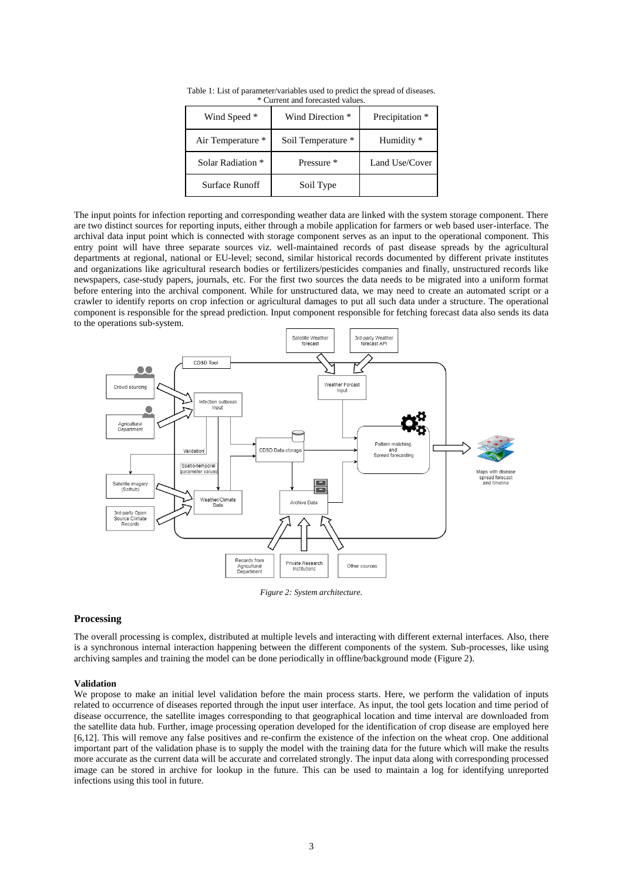| Wind Speed *      | Wind Direction *   | Precipitation * |
|-------------------|--------------------|-----------------|
| Air Temperature * | Soil Temperature * | Humidity *      |
| Solar Radiation * | Pressure *         | Land Use/Cover  |
| Surface Runoff    | Soil Type          |                 |

Table 1: List of parameter/variables used to predict the spread of diseases. \* Current and forecasted values.

The input points for infection reporting and corresponding weather data are linked with the system storage component. There are two distinct sources for reporting inputs, either through a mobile application for farmers or web based user-interface. The archival data input point which is connected with storage component serves as an input to the operational component. This entry point will have three separate sources viz. well-maintained records of past disease spreads by the agricultural departments at regional, national or EU-level; second, similar historical records documented by different private institutes and organizations like agricultural research bodies or fertilizers/pesticides companies and finally, unstructured records like newspapers, case-study papers, journals, etc. For the first two sources the data needs to be migrated into a uniform format before entering into the archival component. While for unstructured data, we may need to create an automated script or a crawler to identify reports on crop infection or agricultural damages to put all such data under a structure. The operational component is responsible for the spread prediction. Input component responsible for fetching forecast data also sends its data to the operations sub-system.



*Figure 2: System architecture.*

#### **Processing**

The overall processing is complex, distributed at multiple levels and interacting with different external interfaces. Also, there is a synchronous internal interaction happening between the different components of the system. Sub-processes, like using archiving samples and training the model can be done periodically in offline/background mode (Figure 2).

#### **Validation**

We propose to make an initial level validation before the main process starts. Here, we perform the validation of inputs related to occurrence of diseases reported through the input user interface. As input, the tool gets location and time period of disease occurrence, the satellite images corresponding to that geographical location and time interval are downloaded from the satellite data hub. Further, image processing operation developed for the identification of crop disease are employed here [\[6,](#page-4-0)[12\]](#page-4-9). This will remove any false positives and re-confirm the existence of the infection on the wheat crop. One additional important part of the validation phase is to supply the model with the training data for the future which will make the results more accurate as the current data will be accurate and correlated strongly. The input data along with corresponding processed image can be stored in archive for lookup in the future. This can be used to maintain a log for identifying unreported infections using this tool in future.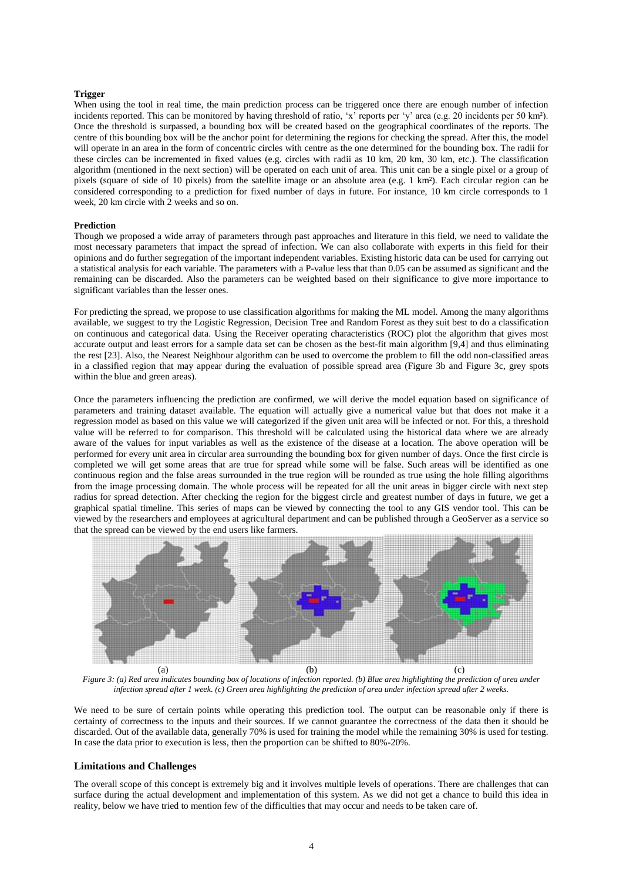#### **Trigger**

When using the tool in real time, the main prediction process can be triggered once there are enough number of infection incidents reported. This can be monitored by having threshold of ratio, 'x' reports per 'y' area (e.g. 20 incidents per 50 km²). Once the threshold is surpassed, a bounding box will be created based on the geographical coordinates of the reports. The centre of this bounding box will be the anchor point for determining the regions for checking the spread. After this, the model will operate in an area in the form of concentric circles with centre as the one determined for the bounding box. The radii for these circles can be incremented in fixed values (e.g. circles with radii as 10 km, 20 km, 30 km, etc.). The classification algorithm (mentioned in the next section) will be operated on each unit of area. This unit can be a single pixel or a group of pixels (square of side of 10 pixels) from the satellite image or an absolute area (e.g. 1 km²). Each circular region can be considered corresponding to a prediction for fixed number of days in future. For instance, 10 km circle corresponds to 1 week, 20 km circle with 2 weeks and so on.

#### **Prediction**

Though we proposed a wide array of parameters through past approaches and literature in this field, we need to validate the most necessary parameters that impact the spread of infection. We can also collaborate with experts in this field for their opinions and do further segregation of the important independent variables. Existing historic data can be used for carrying out a statistical analysis for each variable. The parameters with a P-value less that than 0.05 can be assumed as significant and the remaining can be discarded. Also the parameters can be weighted based on their significance to give more importance to significant variables than the lesser ones.

For predicting the spread, we propose to use classification algorithms for making the ML model. Among the many algorithms available, we suggest to try the Logistic Regression, Decision Tree and Random Forest as they suit best to do a classification on continuous and categorical data. Using the Receiver operating characteristics (ROC) plot the algorithm that gives most accurate output and least errors for a sample data set can be chosen as the best-fit main algorithm [\[9,](#page-4-10)[4\]](#page-4-11) and thus eliminating the rest [\[23\]](#page-5-6). Also, the Nearest Neighbour algorithm can be used to overcome the problem to fill the odd non-classified areas in a classified region that may appear during the evaluation of possible spread area (Figure 3b and Figure 3c, grey spots within the blue and green areas).

Once the parameters influencing the prediction are confirmed, we will derive the model equation based on significance of parameters and training dataset available. The equation will actually give a numerical value but that does not make it a regression model as based on this value we will categorized if the given unit area will be infected or not. For this, a threshold value will be referred to for comparison. This threshold will be calculated using the historical data where we are already aware of the values for input variables as well as the existence of the disease at a location. The above operation will be performed for every unit area in circular area surrounding the bounding box for given number of days. Once the first circle is completed we will get some areas that are true for spread while some will be false. Such areas will be identified as one continuous region and the false areas surrounded in the true region will be rounded as true using the hole filling algorithms from the image processing domain. The whole process will be repeated for all the unit areas in bigger circle with next step radius for spread detection. After checking the region for the biggest circle and greatest number of days in future, we get a graphical spatial timeline. This series of maps can be viewed by connecting the tool to any GIS vendor tool. This can be viewed by the researchers and employees at agricultural department and can be published through a GeoServer as a service so that the spread can be viewed by the end users like farmers.



*Figure 3: (a) Red area indicates bounding box of locations of infection reported. (b) Blue area highlighting the prediction of area under infection spread after 1 week. (c) Green area highlighting the prediction of area under infection spread after 2 weeks.*

We need to be sure of certain points while operating this prediction tool. The output can be reasonable only if there is certainty of correctness to the inputs and their sources. If we cannot guarantee the correctness of the data then it should be discarded. Out of the available data, generally 70% is used for training the model while the remaining 30% is used for testing. In case the data prior to execution is less, then the proportion can be shifted to 80%-20%.

## **Limitations and Challenges**

The overall scope of this concept is extremely big and it involves multiple levels of operations. There are challenges that can surface during the actual development and implementation of this system. As we did not get a chance to build this idea in reality, below we have tried to mention few of the difficulties that may occur and needs to be taken care of.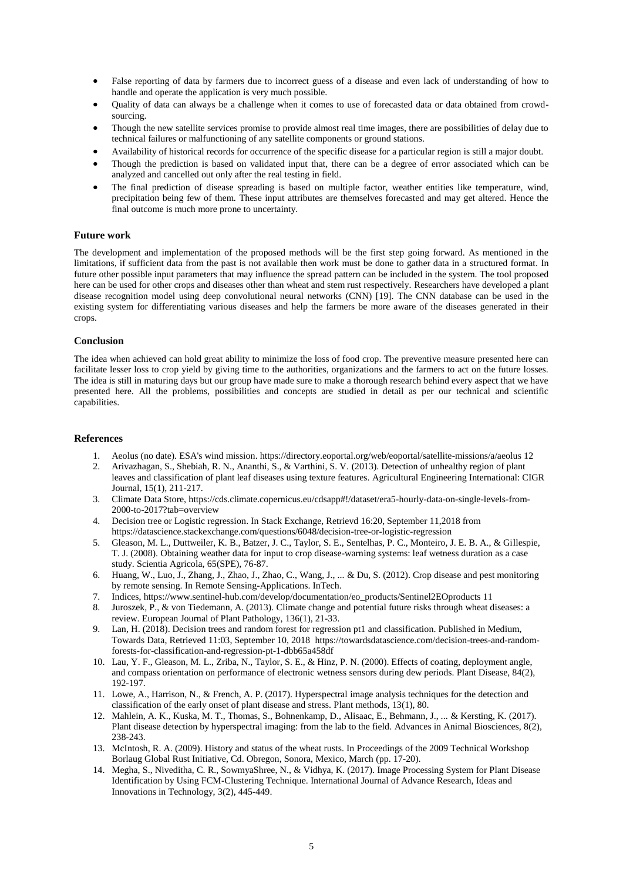- False reporting of data by farmers due to incorrect guess of a disease and even lack of understanding of how to handle and operate the application is very much possible.
- Quality of data can always be a challenge when it comes to use of forecasted data or data obtained from crowdsourcing.
- Though the new satellite services promise to provide almost real time images, there are possibilities of delay due to technical failures or malfunctioning of any satellite components or ground stations.
- Availability of historical records for occurrence of the specific disease for a particular region is still a major doubt.
- Though the prediction is based on validated input that, there can be a degree of error associated which can be analyzed and cancelled out only after the real testing in field.
- The final prediction of disease spreading is based on multiple factor, weather entities like temperature, wind, precipitation being few of them. These input attributes are themselves forecasted and may get altered. Hence the final outcome is much more prone to uncertainty.

# **Future work**

The development and implementation of the proposed methods will be the first step going forward. As mentioned in the limitations, if sufficient data from the past is not available then work must be done to gather data in a structured format. In future other possible input parameters that may influence the spread pattern can be included in the system. The tool proposed here can be used for other crops and diseases other than wheat and stem rust respectively. Researchers have developed a plant disease recognition model using deep convolutional neural networks (CNN) [\[19\]](#page-5-7). The CNN database can be used in the existing system for differentiating various diseases and help the farmers be more aware of the diseases generated in their crops.

# **Conclusion**

The idea when achieved can hold great ability to minimize the loss of food crop. The preventive measure presented here can facilitate lesser loss to crop yield by giving time to the authorities, organizations and the farmers to act on the future losses. The idea is still in maturing days but our group have made sure to make a thorough research behind every aspect that we have presented here. All the problems, possibilities and concepts are studied in detail as per our technical and scientific capabilities.

## <span id="page-4-5"></span>**References**

- 1. Aeolus (no date). ESA's wind mission. <https://directory.eoportal.org/web/eoportal/satellite-missions/a/aeolus> 12
- 2. Arivazhagan, S., Shebiah, R. N., Ananthi, S., & Varthini, S. V. (2013). Detection of unhealthy region of plant leaves and classification of plant leaf diseases using texture features. Agricultural Engineering International: CIGR Journal, 15(1), 211-217.
- <span id="page-4-6"></span>3. Climate Data Store, [https://cds.climate.copernicus.eu/cdsapp#!/dataset/era5-hourly-data-on-single-levels-from-](https://cds.climate.copernicus.eu/cdsapp#!/dataset/era5-hourly-data-on-single-levels-from-2000-to-2017?tab=overview)[2000-to-2017?tab=overview](https://cds.climate.copernicus.eu/cdsapp#!/dataset/era5-hourly-data-on-single-levels-from-2000-to-2017?tab=overview)
- <span id="page-4-11"></span>4. Decision tree or Logistic regression. In Stack Exchange, Retrievd 16:20, September 11,2018 from https://datascience.stackexchange.com/questions/6048/decision-tree-or-logistic-regression
- 5. Gleason, M. L., Duttweiler, K. B., Batzer, J. C., Taylor, S. E., Sentelhas, P. C., Monteiro, J. E. B. A., & Gillespie, T. J. (2008). Obtaining weather data for input to crop disease-warning systems: leaf wetness duration as a case study. Scientia Agricola, 65(SPE), 76-87.
- <span id="page-4-0"></span>6. Huang, W., Luo, J., Zhang, J., Zhao, J., Zhao, C., Wang, J., ... & Du, S. (2012). Crop disease and pest monitoring by remote sensing. In Remote Sensing-Applications. InTech.
- <span id="page-4-3"></span>7. Indices, [https://www.sentinel-hub.com/develop/documentation/eo\\_products/Sentinel2EOproducts](https://www.sentinel-hub.com/develop/documentation/eo_products/Sentinel2EOproducts) 11
- <span id="page-4-8"></span>8. Juroszek, P., & von Tiedemann, A. (2013). Climate change and potential future risks through wheat diseases: a review. European Journal of Plant Pathology, 136(1), 21-33.
- <span id="page-4-10"></span>9. Lan, H. (2018). Decision trees and random forest for regression pt1 and classification. Published in Medium, Towards Data, Retrieved 11:03, September 10, 2018 [https://towardsdatascience.com/decision-trees-and-random](https://towardsdatascience.com/decision-trees-and-random-forests-for-classification-and-regression-pt-1-dbb65a458df)[forests-for-classification-and-regression-pt-1-dbb65a458df](https://towardsdatascience.com/decision-trees-and-random-forests-for-classification-and-regression-pt-1-dbb65a458df)
- <span id="page-4-2"></span>10. Lau, Y. F., Gleason, M. L., Zriba, N., Taylor, S. E., & Hinz, P. N. (2000). Effects of coating, deployment angle, and compass orientation on performance of electronic wetness sensors during dew periods. Plant Disease, 84(2), 192-197.
- <span id="page-4-4"></span>11. Lowe, A., Harrison, N., & French, A. P. (2017). Hyperspectral image analysis techniques for the detection and classification of the early onset of plant disease and stress. Plant methods, 13(1), 80.
- <span id="page-4-9"></span>12. Mahlein, A. K., Kuska, M. T., Thomas, S., Bohnenkamp, D., Alisaac, E., Behmann, J., ... & Kersting, K. (2017). Plant disease detection by hyperspectral imaging: from the lab to the field. Advances in Animal Biosciences, 8(2), 238-243.
- <span id="page-4-1"></span>13. McIntosh, R. A. (2009). History and status of the wheat rusts. In Proceedings of the 2009 Technical Workshop Borlaug Global Rust Initiative, Cd. Obregon, Sonora, Mexico, March (pp. 17-20).
- <span id="page-4-7"></span>14. Megha, S., Niveditha, C. R., SowmyaShree, N., & Vidhya, K. (2017). Image Processing System for Plant Disease Identification by Using FCM-Clustering Technique. International Journal of Advance Research, Ideas and Innovations in Technology, 3(2), 445-449.